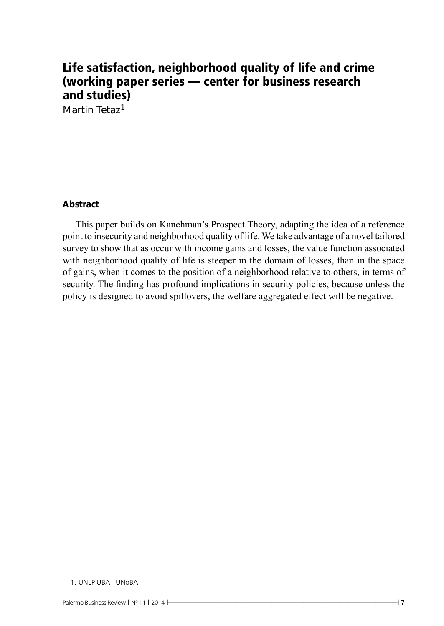# Life satisfaction, neighborhood quality of life and crime (working paper series — center for business research and studies)

Martin Tetaz<sup>1</sup>

## **Abstract**

This paper builds on Kanehman's Prospect Theory, adapting the idea of a reference point to insecurity and neighborhood quality of life. We take advantage of a novel tailored survey to show that as occur with income gains and losses, the value function associated with neighborhood quality of life is steeper in the domain of losses, than in the space of gains, when it comes to the position of a neighborhood relative to others, in terms of security. The finding has profound implications in security policies, because unless the policy is designed to avoid spillovers, the welfare aggregated effect will be negative.

<sup>1.</sup> UNLP-UBA - UNoBA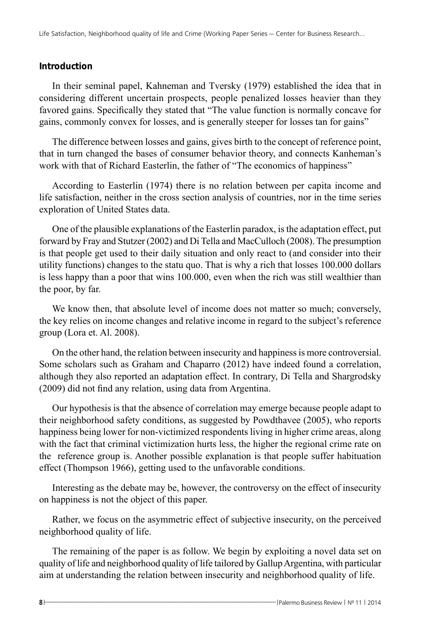## **Introduction**

In their seminal papel, Kahneman and Tversky (1979) established the idea that in considering different uncertain prospects, people penalized losses heavier than they favored gains. Specifically they stated that "The value function is normally concave for gains, commonly convex for losses, and is generally steeper for losses tan for gains"

The difference between losses and gains, gives birth to the concept of reference point, that in turn changed the bases of consumer behavior theory, and connects Kanheman's work with that of Richard Easterlin, the father of "The economics of happiness"

According to Easterlin (1974) there is no relation between per capita income and life satisfaction, neither in the cross section analysis of countries, nor in the time series exploration of United States data.

One of the plausible explanations of the Easterlin paradox, is the adaptation effect, put forward by Fray and Stutzer (2002) and Di Tella and MacCulloch (2008). The presumption is that people get used to their daily situation and only react to (and consider into their utility functions) changes to the statu quo. That is why a rich that losses 100.000 dollars is less happy than a poor that wins 100.000, even when the rich was still wealthier than the poor, by far.

We know then, that absolute level of income does not matter so much; conversely, the key relies on income changes and relative income in regard to the subject's reference group (Lora et. Al. 2008).

On the other hand, the relation between insecurity and happiness is more controversial. Some scholars such as Graham and Chaparro (2012) have indeed found a correlation, although they also reported an adaptation effect. In contrary, Di Tella and Shargrodsky (2009) did not find any relation, using data from Argentina.

Our hypothesis is that the absence of correlation may emerge because people adapt to their neighborhood safety conditions, as suggested by Powdthavee (2005), who reports happiness being lower for non-victimized respondents living in higher crime areas, along with the fact that criminal victimization hurts less, the higher the regional crime rate on the reference group is. Another possible explanation is that people suffer habituation effect (Thompson 1966), getting used to the unfavorable conditions.

Interesting as the debate may be, however, the controversy on the effect of insecurity on happiness is not the object of this paper.

Rather, we focus on the asymmetric effect of subjective insecurity, on the perceived neighborhood quality of life.

The remaining of the paper is as follow. We begin by exploiting a novel data set on quality of life and neighborhood quality of life tailored by Gallup Argentina, with particular aim at understanding the relation between insecurity and neighborhood quality of life.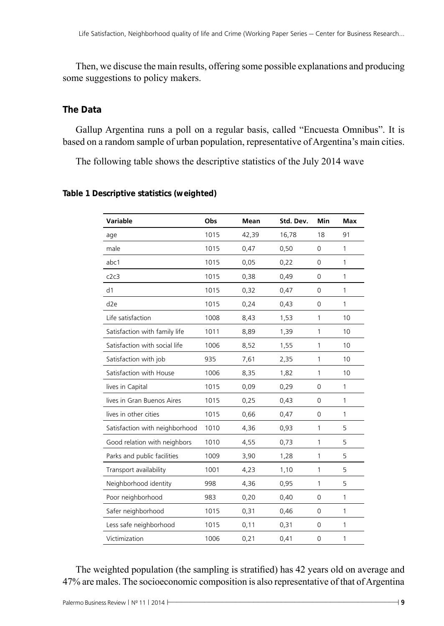Then, we discuse the main results, offering some possible explanations and producing some suggestions to policy makers.

## **The Data**

Gallup Argentina runs a poll on a regular basis, called "Encuesta Omnibus". It is based on a random sample of urban population, representative of Argentina's main cities.

The following table shows the descriptive statistics of the July 2014 wave

**Table 1 Descriptive statistics (weighted)**

| Variable                       | Obs  | Mean  | Std. Dev. | Min         | <b>Max</b>   |
|--------------------------------|------|-------|-----------|-------------|--------------|
| age                            | 1015 | 42,39 | 16,78     | 18          | 91           |
| male                           | 1015 | 0,47  | 0,50      | 0           | $\mathbf{1}$ |
| abc1                           | 1015 | 0,05  | 0,22      | 0           | 1            |
| c2c3                           | 1015 | 0,38  | 0,49      | 0           | 1            |
| d1                             | 1015 | 0,32  | 0,47      | 0           | $\mathbf{1}$ |
| d2e                            | 1015 | 0,24  | 0,43      | $\Omega$    | $\mathbf{1}$ |
| Life satisfaction              | 1008 | 8,43  | 1,53      | 1           | 10           |
| Satisfaction with family life  | 1011 | 8,89  | 1,39      | 1           | 10           |
| Satisfaction with social life  | 1006 | 8,52  | 1,55      | 1           | 10           |
| Satisfaction with job          | 935  | 7,61  | 2,35      | 1           | 10           |
| Satisfaction with House        | 1006 | 8,35  | 1,82      | 1           | 10           |
| lives in Capital               | 1015 | 0,09  | 0,29      | $\mathbf 0$ | 1            |
| lives in Gran Buenos Aires     | 1015 | 0,25  | 0,43      | 0           | 1            |
| lives in other cities          | 1015 | 0,66  | 0,47      | 0           | $\mathbf{1}$ |
| Satisfaction with neighborhood | 1010 | 4,36  | 0,93      | 1           | 5            |
| Good relation with neighbors   | 1010 | 4,55  | 0,73      | 1           | 5            |
| Parks and public facilities    | 1009 | 3,90  | 1,28      | 1           | 5            |
| Transport availability         | 1001 | 4,23  | 1,10      | 1           | 5            |
| Neighborhood identity          | 998  | 4,36  | 0,95      | 1           | 5            |
| Poor neighborhood              | 983  | 0,20  | 0,40      | 0           | 1            |
| Safer neighborhood             | 1015 | 0,31  | 0,46      | 0           | 1            |
| Less safe neighborhood         | 1015 | 0,11  | 0,31      | 0           | $\mathbf{1}$ |
| Victimization                  | 1006 | 0,21  | 0,41      | 0           | 1            |

The weighted population (the sampling is stratified) has 42 years old on average and 47% are males. The socioeconomic composition is also representative of that of Argentina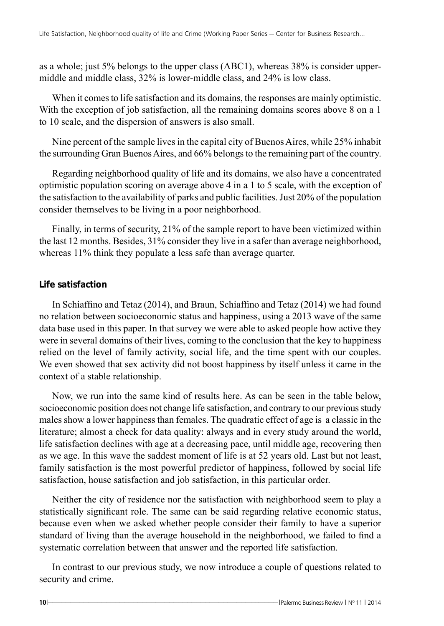as a whole; just 5% belongs to the upper class (ABC1), whereas 38% is consider uppermiddle and middle class, 32% is lower-middle class, and 24% is low class.

When it comes to life satisfaction and its domains, the responses are mainly optimistic. With the exception of job satisfaction, all the remaining domains scores above 8 on a 1 to 10 scale, and the dispersion of answers is also small.

Nine percent of the sample lives in the capital city of Buenos Aires, while 25% inhabit the surrounding Gran Buenos Aires, and 66% belongs to the remaining part of the country.

Regarding neighborhood quality of life and its domains, we also have a concentrated optimistic population scoring on average above 4 in a 1 to 5 scale, with the exception of the satisfaction to the availability of parks and public facilities. Just 20% of the population consider themselves to be living in a poor neighborhood.

Finally, in terms of security, 21% of the sample report to have been victimized within the last 12 months. Besides, 31% consider they live in a safer than average neighborhood, whereas 11% think they populate a less safe than average quarter.

## **Life satisfaction**

In Schiaffino and Tetaz (2014), and Braun, Schiaffino and Tetaz (2014) we had found no relation between socioeconomic status and happiness, using a 2013 wave of the same data base used in this paper. In that survey we were able to asked people how active they were in several domains of their lives, coming to the conclusion that the key to happiness relied on the level of family activity, social life, and the time spent with our couples. We even showed that sex activity did not boost happiness by itself unless it came in the context of a stable relationship.

Now, we run into the same kind of results here. As can be seen in the table below, socioeconomic position does not change life satisfaction, and contrary to our previous study males show a lower happiness than females. The quadratic effect of age is a classic in the literature; almost a check for data quality: always and in every study around the world, life satisfaction declines with age at a decreasing pace, until middle age, recovering then as we age. In this wave the saddest moment of life is at 52 years old. Last but not least, family satisfaction is the most powerful predictor of happiness, followed by social life satisfaction, house satisfaction and job satisfaction, in this particular order.

Neither the city of residence nor the satisfaction with neighborhood seem to play a statistically significant role. The same can be said regarding relative economic status, because even when we asked whether people consider their family to have a superior standard of living than the average household in the neighborhood, we failed to find a systematic correlation between that answer and the reported life satisfaction.

In contrast to our previous study, we now introduce a couple of questions related to security and crime.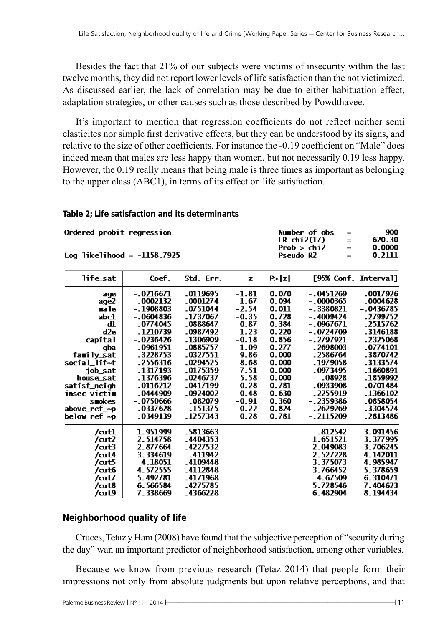Besides the fact that 21% of our subjects were victims of insecurity within the last twelve months, they did not report lower levels of life satisfaction than the not victimized. As discussed earlier, the lack of correlation may be due to either habituation effect, adaptation strategies, or other causes such as those described by Powdthavee.

It's important to mention that regression coefficients do not reflect neither semi elasticites nor simple first derivative effects, but they can be understood by its signs, and relative to the size of other coefficients. For instance the -0.19 coefficient on "Male" does indeed mean that males are less happy than women, but not necessarily 0.19 less happy. However, the 0.19 really means that being male is three times as important as belonging to the upper class (ABC1), in terms of its effect on life satisfaction.

Number of obs

LR  $chi(17)$ 

Prob  $>$   $\overline{ch12}$ 

Pseudo R<sub>2</sub>

 $\sim$ 

 $=$ 

 $=$ 

 $\equiv$ 

#### **Table 2; Life satisfaction and its determinants**

Ordered probit regression

| Log likelihood = $-1158.7925$ |  |
|-------------------------------|--|
|                               |  |

| life_sat     | Coef.      | Std. Err. | z       | P≻lzl | [95% Conf. Interval] |             |
|--------------|------------|-----------|---------|-------|----------------------|-------------|
| age          | - 0216671  | .0119695  | $-1.81$ | 0.070 | $-.0451269$          | .0017926    |
| age2         | .0002132   | .0001274  | 1.67    | 0.094 | - 0000365            | .0004628    |
| ma le        | - 1908803  | .0751044  | $-2.54$ | 0.011 | - 3380821            | $-.0436785$ |
| abc1         | - 0604836  | . 1737067 | $-0.35$ | 0.728 | - 4009424            | .2799752    |
| ďl           | $-0774045$ | .0888647  | 0.87    | 0.384 | - 0967671            | .2515762    |
| d2e          | .1210739   | .0987492  | 1.23    | 0.220 | - 0724709            | .3146188    |
| capital      | - 0236426  | -1306909  | $-0.18$ | 0.856 | - 2797921            | .2325068    |
| gba          | - 0961951  | .0885757  | $-1.09$ | 0.277 | $-2698003$           | .0774101    |
| family_sat   | .3228753   | .0327551  | 9.86    | 0.000 | . 2586764            | .3870742    |
| social lif~t | .2556316   | .0294525  | 8.68    | 0.000 | .1979058             | .3133574    |
| job_sat      | .1317193   | .0175359  | 7.51    | 0.000 | .0973495             | .1660891    |
| house sat    | .1376396   | .0246737  | 5.58    | 0.000 | .08928               | .1859992    |
| satisf_neich | - 0116212  | .0417199  | $-0.28$ | 0.781 | - 0933908            | .0701484    |
| insec victi∎ | - 0444909  | .0924002  | $-0.48$ | 0.630 | - 2255919            | .1366102    |
| smokes       | - 0750666  | .082079   | $-0.91$ | 0.360 | - 2359386            | .0858054    |
| above_ref_~p | .0337628   | .151375   | 0.22    | 0.824 | - 2629269            | .3304524    |
| below_ref_~p | .0349139   | . 1257343 | 0.28    | 0.781 | $-.2115209$          | .2813486    |
| /at1         | 1.951999   | .5813663  |         |       | .812542              | 3.091456    |
| /at2         | 2.514758   | .4404353  |         |       | 1.651521             | 3.377995    |
| /cut3        | 2.877664   | .4227532  |         |       | 2.049083             | 3.706245    |
| /cut4        | 3.334619   | -411942   |         |       | 2.527228             | 4.142011    |
| /cut5        | 4.18051    | .4109448  |         |       | 3.375073             | 4.985947    |
| /cut6        | 4.572555   | .4112848  |         |       | 3.766452             | 5.378659    |
| /art         | 5.492781   | .4171968  |         |       | 4.67509              | 6.310471    |
| /cut8        | 6.566584   | .4275785  |         |       | 5.728546             | 7.404623    |
| /art9        | 7.338669   | .4366228  |         |       | 6.482904             | 8.194434    |

#### **Neighborhood quality of life**

Cruces, Tetaz y Ham (2008) have found that the subjective perception of "security during the day" wan an important predictor of neighborhood satisfaction, among other variables.

Because we know from previous research (Tetaz 2014) that people form their impressions not only from absolute judgments but upon relative perceptions, and that

900

620.30

0.0000

0.2111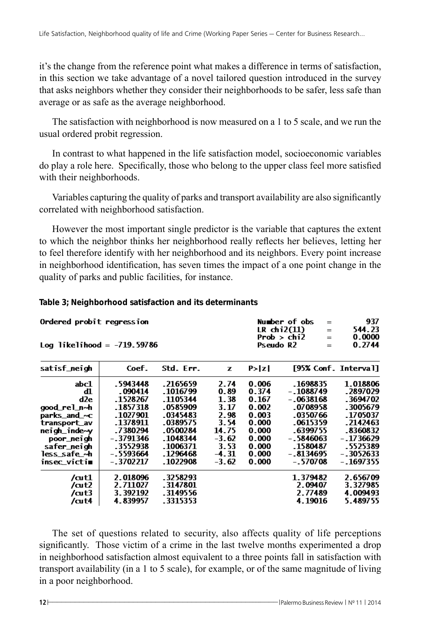it's the change from the reference point what makes a difference in terms of satisfaction, in this section we take advantage of a novel tailored question introduced in the survey that asks neighbors whether they consider their neighborhoods to be safer, less safe than average or as safe as the average neighborhood.

The satisfaction with neighborhood is now measured on a 1 to 5 scale, and we run the usual ordered probit regression.

In contrast to what happened in the life satisfaction model, socioeconomic variables do play a role here. Specifically, those who belong to the upper class feel more satisfied with their neighborhoods.

Variables capturing the quality of parks and transport availability are also significantly correlated with neighborhood satisfaction.

However the most important single predictor is the variable that captures the extent to which the neighbor thinks her neighborhood really reflects her believes, letting her to feel therefore identify with her neighborhood and its neighbors. Every point increase in neighborhood identification, has seven times the impact of a one point change in the quality of parks and public facilities, for instance.

#### **Table 3; Neighborhood satisfaction and its determinants**

| Ordered probit regression     | Number of obs             | $=$ | 937    |
|-------------------------------|---------------------------|-----|--------|
|                               | LR chi $2(11)$            | $=$ | 544.23 |
|                               | Prob $>$ chi <sub>2</sub> | $=$ | 0.0000 |
| Log likelihood = $-719.59786$ | Pseudo R2                 | $=$ | 0.2744 |

| satisf_neich | Coef.      | Std. Err. | z       | P >  Z |             | [95% Conf. Interval] |
|--------------|------------|-----------|---------|--------|-------------|----------------------|
| abc1         | .5943448   | .2165659  | 2.74    | 0.006  | .1698835    | 1.018806             |
| ďl           | .090414    | .1016799  | 0.89    | 0.374  | $-1088749$  | .2897029             |
| d2e.         | .1528267   | -1105344  | 1.38    | 0.167  | $-0638168$  | .3694702             |
| good_rel_n~h | .1857318   | .0585909  | 3.17    | 0.002  | .0708958    | .3005679             |
| parks and ~c | .1027901   | .0345483  | 2.98    | 0.003  | .0350766    | .1705037             |
| transport_av | .1378911   | .0389575  | 3.54    | 0.000  | .0615359    | .2142463             |
| neigh_inde~v | .7380294   | .0500284  | 14.75   | 0.000  | -6399755    | .8360832             |
| poor_neigh   | - 3791346  | .1048344  | $-3.62$ | 0.000  | $-5846063$  | - 1736629            |
| safer_neigh  | .3552938   | .1006371  | 3.53    | 0.000  | .1580487    | .5525389             |
| less safe ~h | $-5593664$ | .1296468  | $-4.31$ | 0.000  | $-.8134695$ | $-3052633$           |
| insec_victim | $-3702217$ | .1022908  | $-3.62$ | 0.000  | $-570708$   | - 1697355            |
| /at1         | 2.018096   | .3258293  |         |        | 1.379482    | 2.656709             |
| /at2         | 2.711027   | .3147801  |         |        | 2.09407     | 3.327985             |
| /cut3        | 3.392192   | .3149556  |         |        | 2.77489     | 4.009493             |
| /cut4        | 4.839957   | .3315353  |         |        | 4.19016     | 5.489755             |
|              |            |           |         |        |             |                      |

The set of questions related to security, also affects quality of life perceptions significantly. Those victim of a crime in the last twelve months experimented a drop in neighborhood satisfaction almost equivalent to a three points fall in satisfaction with transport availability (in a 1 to 5 scale), for example, or of the same magnitude of living in a poor neighborhood.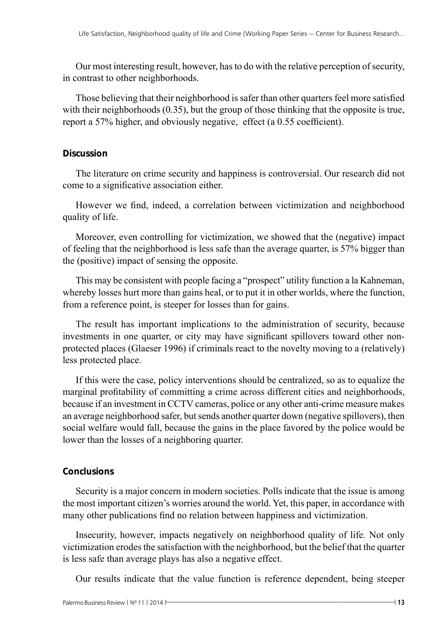Our most interesting result, however, has to do with the relative perception of security, in contrast to other neighborhoods.

Those believing that their neighborhood is safer than other quarters feel more satisfied with their neighborhoods (0.35), but the group of those thinking that the opposite is true, report a 57% higher, and obviously negative, effect (a 0.55 coefficient).

## **Discussion**

The literature on crime security and happiness is controversial. Our research did not come to a significative association either.

However we find, indeed, a correlation between victimization and neighborhood quality of life.

Moreover, even controlling for victimization, we showed that the (negative) impact of feeling that the neighborhood is less safe than the average quarter, is 57% bigger than the (positive) impact of sensing the opposite.

This may be consistent with people facing a "prospect" utility function a la Kahneman, whereby losses hurt more than gains heal, or to put it in other worlds, where the function, from a reference point, is steeper for losses than for gains.

The result has important implications to the administration of security, because investments in one quarter, or city may have significant spillovers toward other nonprotected places (Glaeser 1996) if criminals react to the novelty moving to a (relatively) less protected place.

If this were the case, policy interventions should be centralized, so as to equalize the marginal profitability of committing a crime across different cities and neighborhoods, because if an investment in CCTV cameras, police or any other anti-crime measure makes an average neighborhood safer, but sends another quarter down (negative spillovers), then social welfare would fall, because the gains in the place favored by the police would be lower than the losses of a neighboring quarter.

## **Conclusions**

Security is a major concern in modern societies. Polls indicate that the issue is among the most important citizen's worries around the world. Yet, this paper, in accordance with many other publications find no relation between happiness and victimization.

Insecurity, however, impacts negatively on neighborhood quality of life. Not only victimization erodes the satisfaction with the neighborhood, but the belief that the quarter is less safe than average plays has also a negative effect.

Our results indicate that the value function is reference dependent, being steeper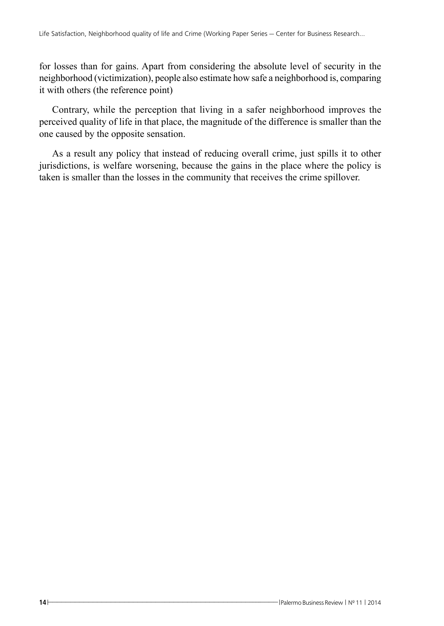for losses than for gains. Apart from considering the absolute level of security in the neighborhood (victimization), people also estimate how safe a neighborhood is, comparing it with others (the reference point)

Contrary, while the perception that living in a safer neighborhood improves the perceived quality of life in that place, the magnitude of the difference is smaller than the one caused by the opposite sensation.

As a result any policy that instead of reducing overall crime, just spills it to other jurisdictions, is welfare worsening, because the gains in the place where the policy is taken is smaller than the losses in the community that receives the crime spillover.